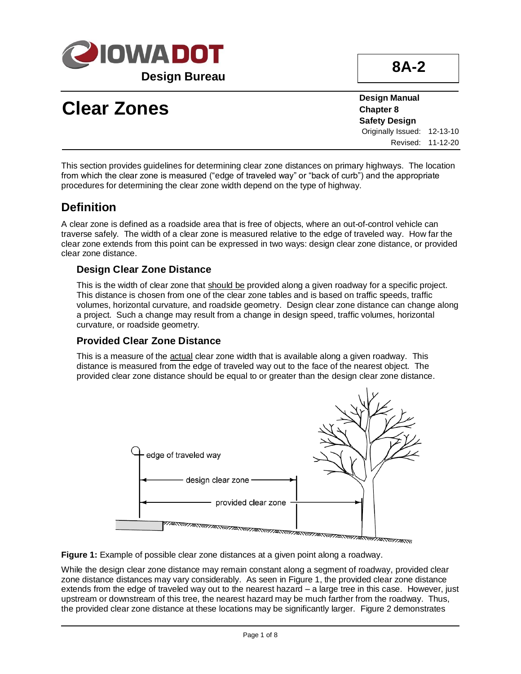

**8A-2**

# **Clear Zones**

**Design Manual Chapter 8 Safety Design** Originally Issued: 12-13-10 Revised: 11-12-20

This section provides guidelines for determining clear zone distances on primary highways. The location from which the clear zone is measured ("edge of traveled way" or "back of curb") and the appropriate procedures for determining the clear zone width depend on the type of highway.

### **Definition**

A clear zone is defined as a roadside area that is free of objects, where an out-of-control vehicle can traverse safely. The width of a clear zone is measured relative to the edge of traveled way. How far the clear zone extends from this point can be expressed in two ways: design clear zone distance, or provided clear zone distance.

#### **Design Clear Zone Distance**

This is the width of clear zone that should be provided along a given roadway for a specific project. This distance is chosen from one of the clear zone tables and is based on traffic speeds, traffic volumes, horizontal curvature, and roadside geometry. Design clear zone distance can change along a project. Such a change may result from a change in design speed, traffic volumes, horizontal curvature, or roadside geometry.

#### **Provided Clear Zone Distance**

This is a measure of the actual clear zone width that is available along a given roadway. This distance is measured from the edge of traveled way out to the face of the nearest object. The provided clear zone distance should be equal to or greater than the design clear zone distance.



**Figure 1:** Example of possible clear zone distances at a given point along a roadway.

While the design clear zone distance may remain constant along a segment of roadway, provided clear zone distance distances may vary considerably. As seen in Figure 1, the provided clear zone distance extends from the edge of traveled way out to the nearest hazard – a large tree in this case. However, just upstream or downstream of this tree, the nearest hazard may be much farther from the roadway. Thus, the provided clear zone distance at these locations may be significantly larger. Figure 2 demonstrates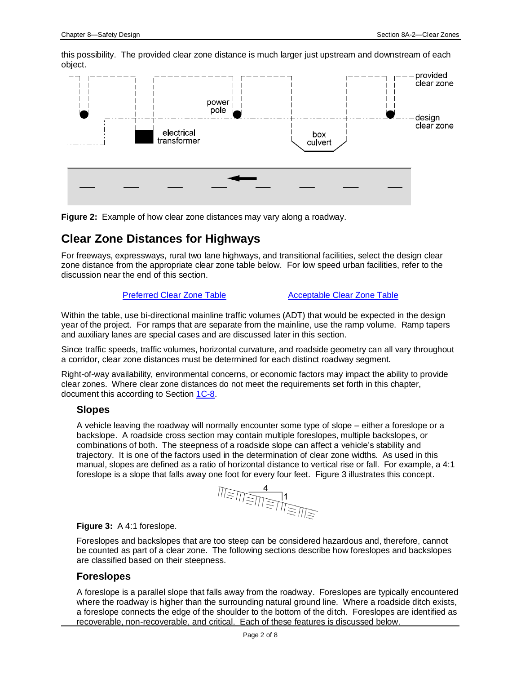this possibility. The provided clear zone distance is much larger just upstream and downstream of each object.



**Figure 2:** Example of how clear zone distances may vary along a roadway.

### **Clear Zone Distances for Highways**

For freeways, expressways, rural two lane highways, and transitional facilities, select the design clear zone distance from the appropriate clear zone table below. For low speed urban facilities, refer to the discussion near the end of this section.

#### [Preferred Clear Zone Table](08a-02/PreferredClearZoneTable.pdf) **[Acceptable Clear Zone Table](08a-02/AcceptableClearZoneTable.pdf)**

Within the table, use bi-directional mainline traffic volumes (ADT) that would be expected in the design year of the project. For ramps that are separate from the mainline, use the ramp volume. Ramp tapers and auxiliary lanes are special cases and are discussed later in this section.

Since traffic speeds, traffic volumes, horizontal curvature, and roadside geometry can all vary throughout a corridor, clear zone distances must be determined for each distinct roadway segment.

Right-of-way availability, environmental concerns, or economic factors may impact the ability to provide clear zones. Where clear zone distances do not meet the requirements set forth in this chapter, document this according to Section [1C-8.](01C-08.pdf)

#### **Slopes**

A vehicle leaving the roadway will normally encounter some type of slope – either a foreslope or a backslope. A roadside cross section may contain multiple foreslopes, multiple backslopes, or combinations of both. The steepness of a roadside slope can affect a vehicle's stability and trajectory. It is one of the factors used in the determination of clear zone widths. As used in this manual, slopes are defined as a ratio of horizontal distance to vertical rise or fall. For example, a 4:1 foreslope is a slope that falls away one foot for every four feet. Figure 3 illustrates this concept.

$$
\frac{4}{\text{minimize}} \leq \frac{4}{\text{minimize}}
$$

#### **Figure 3:** A 4:1 foreslope.

Foreslopes and backslopes that are too steep can be considered hazardous and, therefore, cannot be counted as part of a clear zone. The following sections describe how foreslopes and backslopes are classified based on their steepness.

#### **Foreslopes**

A foreslope is a parallel slope that falls away from the roadway. Foreslopes are typically encountered where the roadway is higher than the surrounding natural ground line. Where a roadside ditch exists, a foreslope connects the edge of the shoulder to the bottom of the ditch. Foreslopes are identified as recoverable, non-recoverable, and critical. Each of these features is discussed below.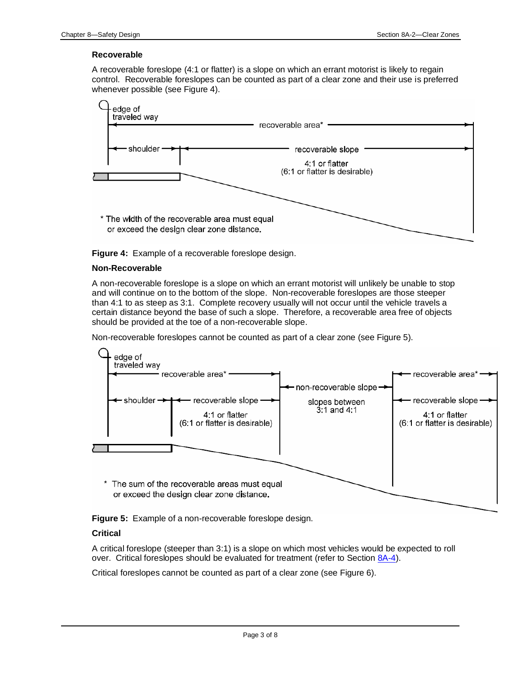#### **Recoverable**

A recoverable foreslope (4:1 or flatter) is a slope on which an errant motorist is likely to regain control. Recoverable foreslopes can be counted as part of a clear zone and their use is preferred whenever possible (see Figure 4).



**Figure 4:** Example of a recoverable foreslope design.

#### **Non-Recoverable**

A non-recoverable foreslope is a slope on which an errant motorist will unlikely be unable to stop and will continue on to the bottom of the slope. Non-recoverable foreslopes are those steeper than 4:1 to as steep as 3:1. Complete recovery usually will not occur until the vehicle travels a certain distance beyond the base of such a slope. Therefore, a recoverable area free of objects should be provided at the toe of a non-recoverable slope.

Non-recoverable foreslopes cannot be counted as part of a clear zone (see Figure 5).



**Figure 5:** Example of a non-recoverable foreslope design.

#### **Critical**

A critical foreslope (steeper than 3:1) is a slope on which most vehicles would be expected to roll over. Critical foreslopes should be evaluated for treatment (refer to Sectio[n 8A-4\)](08a-04.pdf).

Critical foreslopes cannot be counted as part of a clear zone (see Figure 6).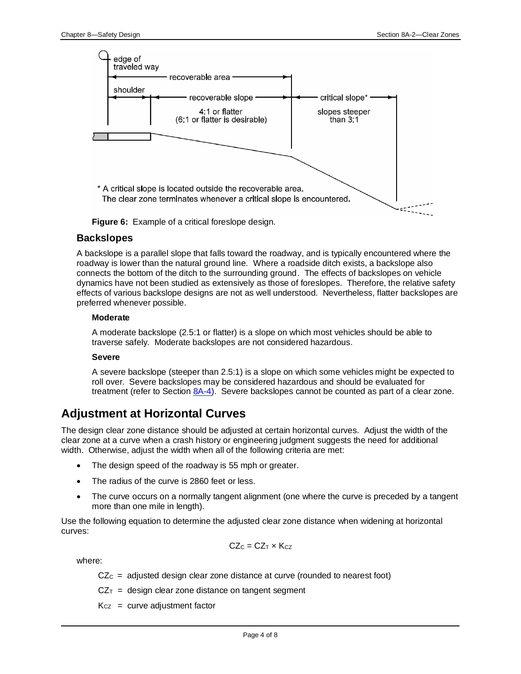

**Figure 6:** Example of a critical foreslope design.

#### **Backslopes**

A backslope is a parallel slope that falls toward the roadway, and is typically encountered where the roadway is lower than the natural ground line. Where a roadside ditch exists, a backslope also connects the bottom of the ditch to the surrounding ground. The effects of backslopes on vehicle dynamics have not been studied as extensively as those of foreslopes. Therefore, the relative safety effects of various backslope designs are not as well understood. Nevertheless, flatter backslopes are preferred whenever possible.

#### **Moderate**

A moderate backslope (2.5:1 or flatter) is a slope on which most vehicles should be able to traverse safely. Moderate backslopes are not considered hazardous.

#### **Severe**

A severe backslope (steeper than 2.5:1) is a slope on which some vehicles might be expected to roll over. Severe backslopes may be considered hazardous and should be evaluated for treatment (refer to Section  $8A-4$ ). Severe backslopes cannot be counted as part of a clear zone.

### **Adjustment at Horizontal Curves**

The design clear zone distance should be adjusted at certain horizontal curves. Adjust the width of the clear zone at a curve when a crash history or engineering judgment suggests the need for additional width. Otherwise, adjust the width when all of the following criteria are met:

- The design speed of the roadway is 55 mph or greater.
- The radius of the curve is 2860 feet or less.
- The curve occurs on a normally tangent alignment (one where the curve is preceded by a tangent more than one mile in length).

Use the following equation to determine the adjusted clear zone distance when widening at horizontal curves:

$$
CZ_C = CZ_T \times K_{CZ}
$$

where:

 $CZ<sub>C</sub>$  = adjusted design clear zone distance at curve (rounded to nearest foot)

 $CZ_T$  = design clear zone distance on tangent segment

 $K<sub>CZ</sub>$  = curve adjustment factor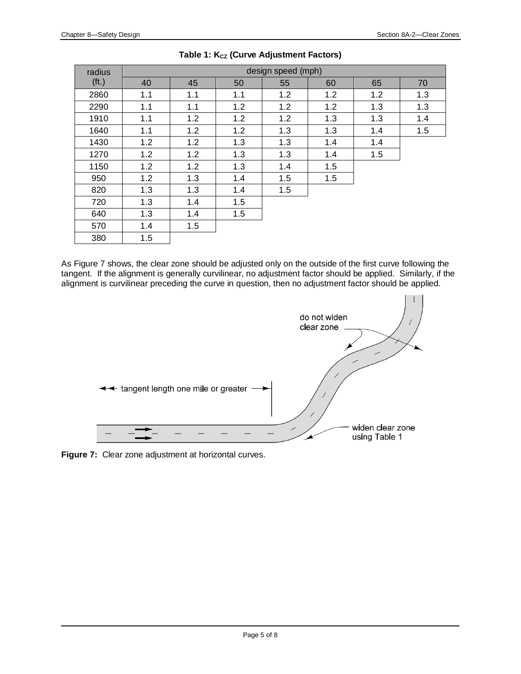| radius            | design speed (mph) |     |     |     |     |     |     |
|-------------------|--------------------|-----|-----|-----|-----|-----|-----|
| (f <sub>t</sub> ) | 40                 | 45  | 50  | 55  | 60  | 65  | 70  |
| 2860              | 1.1                | 1.1 | 1.1 | 1.2 | 1.2 | 1.2 | 1.3 |
| 2290              | 1.1                | 1.1 | 1.2 | 1.2 | 1.2 | 1.3 | 1.3 |
| 1910              | 1.1                | 1.2 | 1.2 | 1.2 | 1.3 | 1.3 | 1.4 |
| 1640              | 1.1                | 1.2 | 1.2 | 1.3 | 1.3 | 1.4 | 1.5 |
| 1430              | 1.2                | 1.2 | 1.3 | 1.3 | 1.4 | 1.4 |     |
| 1270              | 1.2                | 1.2 | 1.3 | 1.3 | 1.4 | 1.5 |     |
| 1150              | 1.2                | 1.2 | 1.3 | 1.4 | 1.5 |     |     |
| 950               | 1.2                | 1.3 | 1.4 | 1.5 | 1.5 |     |     |
| 820               | 1.3                | 1.3 | 1.4 | 1.5 |     |     |     |
| 720               | 1.3                | 1.4 | 1.5 |     |     |     |     |
| 640               | 1.3                | 1.4 | 1.5 |     |     |     |     |
| 570               | 1.4                | 1.5 |     |     |     |     |     |
| 380               | 1.5                |     |     |     |     |     |     |

#### Table 1: K<sub>cz</sub> (Curve Adjustment Factors)

As Figure 7 shows, the clear zone should be adjusted only on the outside of the first curve following the tangent. If the alignment is generally curvilinear, no adjustment factor should be applied. Similarly, if the alignment is curvilinear preceding the curve in question, then no adjustment factor should be applied.



**Figure 7:** Clear zone adjustment at horizontal curves.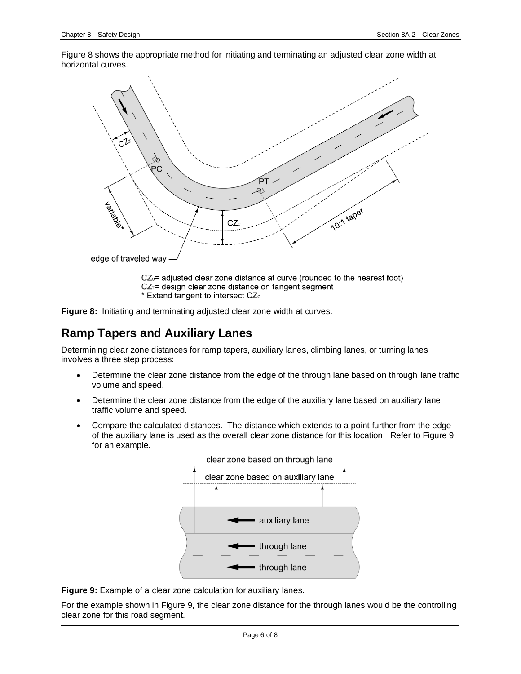Figure 8 shows the appropriate method for initiating and terminating an adjusted clear zone width at horizontal curves.



 $CZ_{\text{c}}$  adjusted clear zone distance at curve (rounded to the nearest foot) CZ<sub>T</sub>= design clear zone distance on tangent segment \* Extend tangent to intersect CZc



### **Ramp Tapers and Auxiliary Lanes**

Determining clear zone distances for ramp tapers, auxiliary lanes, climbing lanes, or turning lanes involves a three step process:

- Determine the clear zone distance from the edge of the through lane based on through lane traffic volume and speed.
- Determine the clear zone distance from the edge of the auxiliary lane based on auxiliary lane traffic volume and speed.
- Compare the calculated distances. The distance which extends to a point further from the edge of the auxiliary lane is used as the overall clear zone distance for this location. Refer to Figure 9 for an example.



**Figure 9:** Example of a clear zone calculation for auxiliary lanes.

For the example shown in Figure 9, the clear zone distance for the through lanes would be the controlling clear zone for this road segment.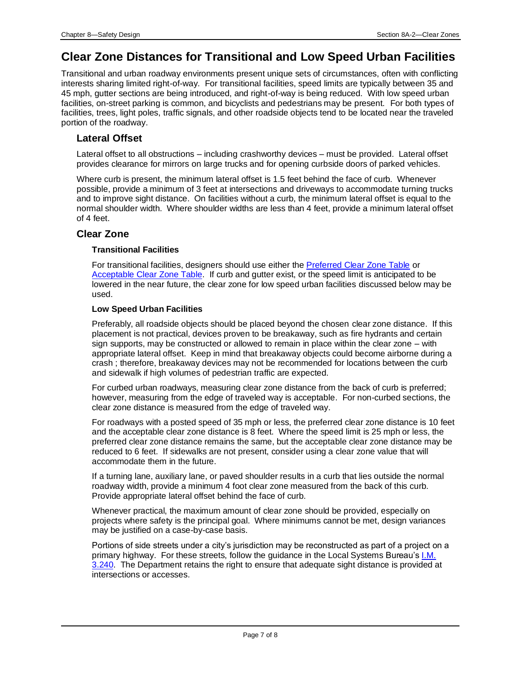### **Clear Zone Distances for Transitional and Low Speed Urban Facilities**

Transitional and urban roadway environments present unique sets of circumstances, often with conflicting interests sharing limited right-of-way. For transitional facilities, speed limits are typically between 35 and 45 mph, gutter sections are being introduced, and right-of-way is being reduced. With low speed urban facilities, on-street parking is common, and bicyclists and pedestrians may be present. For both types of facilities, trees, light poles, traffic signals, and other roadside objects tend to be located near the traveled portion of the roadway.

#### **Lateral Offset**

Lateral offset to all obstructions – including crashworthy devices – must be provided. Lateral offset provides clearance for mirrors on large trucks and for opening curbside doors of parked vehicles.

Where curb is present, the minimum lateral offset is 1.5 feet behind the face of curb. Whenever possible, provide a minimum of 3 feet at intersections and driveways to accommodate turning trucks and to improve sight distance. On facilities without a curb, the minimum lateral offset is equal to the normal shoulder width. Where shoulder widths are less than 4 feet, provide a minimum lateral offset of 4 feet.

#### **Clear Zone**

#### **Transitional Facilities**

For transitional facilities, designers should use either the [Preferred Clear Zone Table](08A-02/PreferredClearZoneTable.pdf) or [Acceptable Clear Zone Table.](08A-02/AcceptableClearZoneTable.pdf) If curb and gutter exist, or the speed limit is anticipated to be lowered in the near future, the clear zone for low speed urban facilities discussed below may be used.

#### **Low Speed Urban Facilities**

Preferably, all roadside objects should be placed beyond the chosen clear zone distance. If this placement is not practical, devices proven to be breakaway, such as fire hydrants and certain sign supports, may be constructed or allowed to remain in place within the clear zone – with appropriate lateral offset. Keep in mind that breakaway objects could become airborne during a crash ; therefore, breakaway devices may not be recommended for locations between the curb and sidewalk if high volumes of pedestrian traffic are expected.

For curbed urban roadways, measuring clear zone distance from the back of curb is preferred; however, measuring from the edge of traveled way is acceptable. For non-curbed sections, the clear zone distance is measured from the edge of traveled way.

For roadways with a posted speed of 35 mph or less, the preferred clear zone distance is 10 feet and the acceptable clear zone distance is 8 feet. Where the speed limit is 25 mph or less, the preferred clear zone distance remains the same, but the acceptable clear zone distance may be reduced to 6 feet. If sidewalks are not present, consider using a clear zone value that will accommodate them in the future.

If a turning lane, auxiliary lane, or paved shoulder results in a curb that lies outside the normal roadway width, provide a minimum 4 foot clear zone measured from the back of this curb. Provide appropriate lateral offset behind the face of curb.

Whenever practical, the maximum amount of clear zone should be provided, especially on projects where safety is the principal goal. Where minimums cannot be met, design variances may be justified on a case-by-case basis.

Portions of side streets under a city's jurisdiction may be reconstructed as part of a project on a primary highway. For these streets, follow the guidance in the Local Systems Bureau's [I.M.](../../local_systems/publications/im/3240.pdf)  [3.240.](../../local_systems/publications/im/3240.pdf) The Department retains the right to ensure that adequate sight distance is provided at intersections or accesses.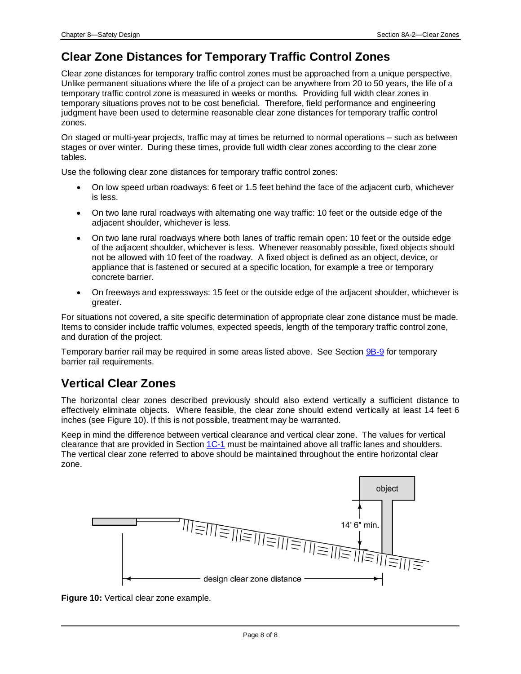### **Clear Zone Distances for Temporary Traffic Control Zones**

Clear zone distances for temporary traffic control zones must be approached from a unique perspective. Unlike permanent situations where the life of a project can be anywhere from 20 to 50 years, the life of a temporary traffic control zone is measured in weeks or months. Providing full width clear zones in temporary situations proves not to be cost beneficial. Therefore, field performance and engineering judgment have been used to determine reasonable clear zone distances for temporary traffic control zones.

On staged or multi-year projects, traffic may at times be returned to normal operations – such as between stages or over winter. During these times, provide full width clear zones according to the clear zone tables.

Use the following clear zone distances for temporary traffic control zones:

- On low speed urban roadways: 6 feet or 1.5 feet behind the face of the adjacent curb, whichever is less.
- On two lane rural roadways with alternating one way traffic: 10 feet or the outside edge of the adjacent shoulder, whichever is less.
- On two lane rural roadways where both lanes of traffic remain open: 10 feet or the outside edge of the adjacent shoulder, whichever is less. Whenever reasonably possible, fixed objects should not be allowed with 10 feet of the roadway. A fixed object is defined as an object, device, or appliance that is fastened or secured at a specific location, for example a tree or temporary concrete barrier.
- On freeways and expressways: 15 feet or the outside edge of the adjacent shoulder, whichever is greater.

For situations not covered, a site specific determination of appropriate clear zone distance must be made. Items to consider include traffic volumes, expected speeds, length of the temporary traffic control zone, and duration of the project.

Temporary barrier rail may be required in some areas listed above. See Section [9B-9](09b-09.pdf) for temporary barrier rail requirements.

### **Vertical Clear Zones**

The horizontal clear zones described previously should also extend vertically a sufficient distance to effectively eliminate objects. Where feasible, the clear zone should extend vertically at least 14 feet 6 inches (see Figure 10). If this is not possible, treatment may be warranted.

Keep in mind the difference between vertical clearance and vertical clear zone. The values for vertical clearance that are provided in Sectio[n 1C-1](01c-01.pdf) must be maintained above all traffic lanes and shoulders. The vertical clear zone referred to above should be maintained throughout the entire horizontal clear zone.



**Figure 10: Vertical clear zone example.**